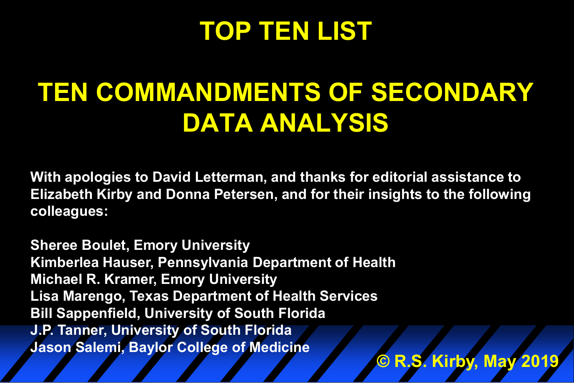# **TOP TEN LIST**

# **TEN COMMANDMENTS OF SECONDARY DATA ANALYSIS**

**With apologies to David Letterman, and thanks for editorial assistance to Elizabeth Kirby and Donna Petersen, and for their insights to the following colleagues:**

**Sheree Boulet, Emory University Kimberlea Hauser, Pennsylvania Department of Health Michael R. Kramer, Emory University Lisa Marengo, Texas Department of Health Services Bill Sappenfield, University of South Florida J.P. Tanner, University of South Florida Jason Salemi, Baylor College of Medicine © R.S. Kirby, May 2019**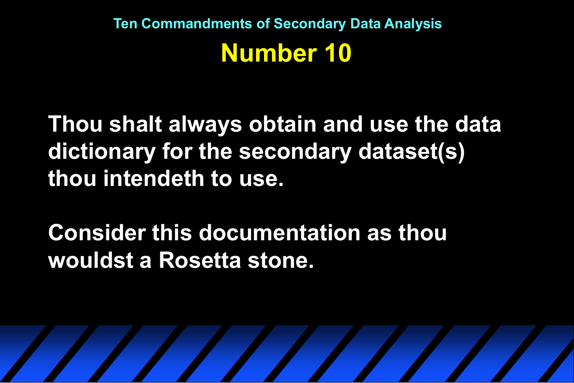**Thou shalt always obtain and use the data dictionary for the secondary dataset(s) thou intendeth to use.**

**Consider this documentation as thou wouldst a Rosetta stone.**

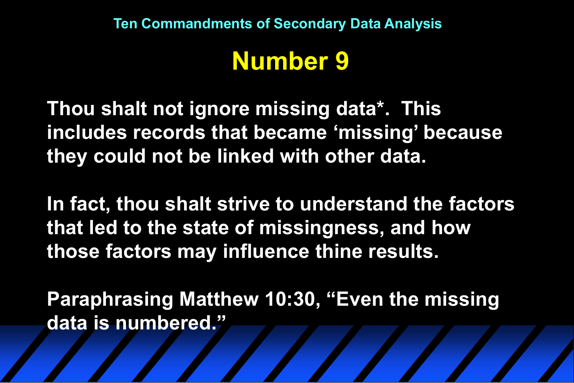## **Number 9**

**Thou shalt not ignore missing data\*. This includes records that became 'missing' because they could not be linked with other data.** 

**In fact, thou shalt strive to understand the factors that led to the state of missingness, and how those factors may influence thine results.**

**Paraphrasing Matthew 10:30, "Even the missing data is numbered."**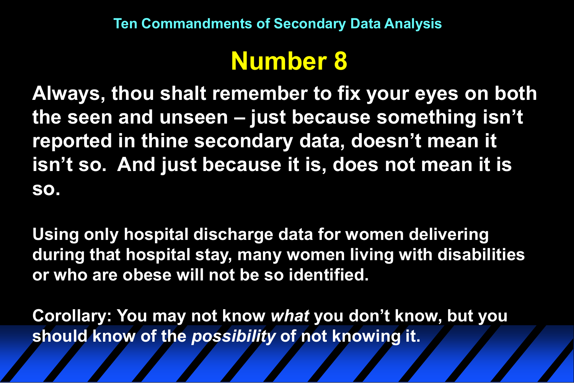## **Number 8**

**Always, thou shalt remember to fix your eyes on both the seen and unseen – just because something isn't reported in thine secondary data, doesn't mean it isn't so. And just because it is, does not mean it is so.**

**Using only hospital discharge data for women delivering during that hospital stay, many women living with disabilities or who are obese will not be so identified.**

**Corollary: You may not know** *what* **you don't know, but you should know of the** *possibility* **of not knowing it.**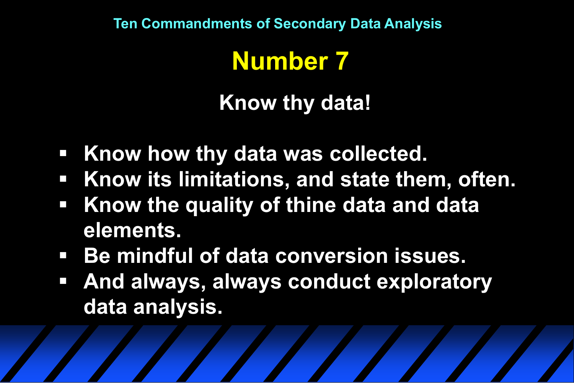## **Number 7**

**Know thy data!**

- **Know how thy data was collected.**
- **Know its limitations, and state them, often.**
- **Know the quality of thine data and data elements.**
- **Be mindful of data conversion issues.**
- **And always, always conduct exploratory data analysis.**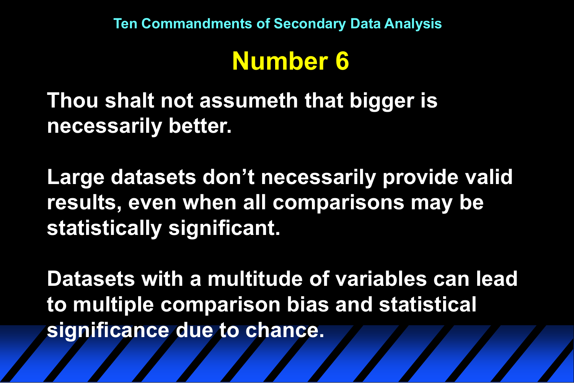## **Number 6**

**Thou shalt not assumeth that bigger is necessarily better.**

**Large datasets don't necessarily provide valid results, even when all comparisons may be statistically significant.**

**Datasets with a multitude of variables can lead to multiple comparison bias and statistical significance due to chance.**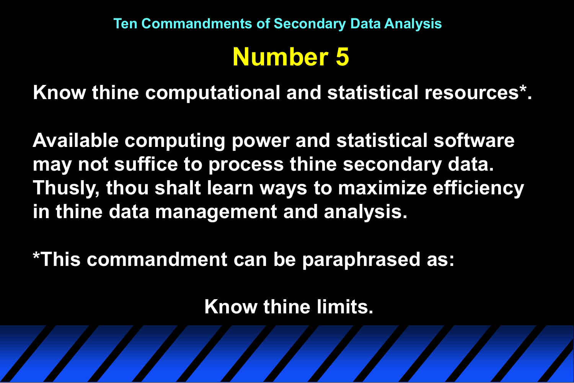**Know thine computational and statistical resources\*.**

**Available computing power and statistical software may not suffice to process thine secondary data. Thusly, thou shalt learn ways to maximize efficiency in thine data management and analysis.**

**\*This commandment can be paraphrased as:**

**Know thine limits.**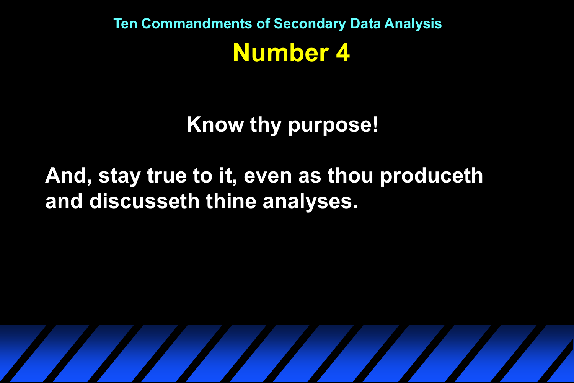#### **Know thy purpose!**

#### **And, stay true to it, even as thou produceth and discusseth thine analyses.**

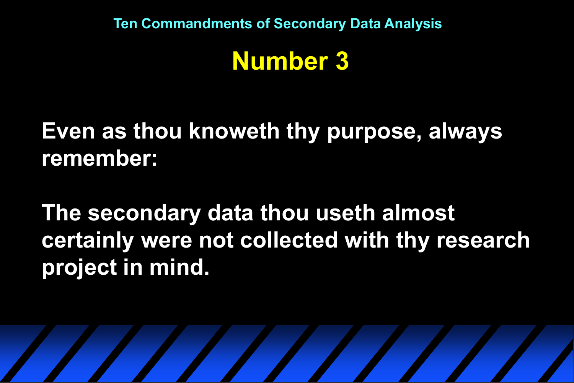#### **Number 3**

### **Even as thou knoweth thy purpose, always remember:**

**The secondary data thou useth almost certainly were not collected with thy research project in mind.**

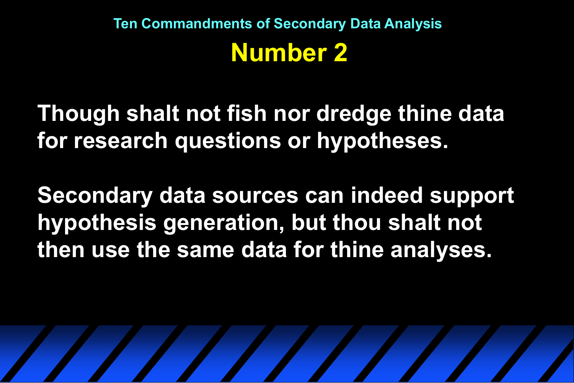**Though shalt not fish nor dredge thine data for research questions or hypotheses.**

**Secondary data sources can indeed support hypothesis generation, but thou shalt not then use the same data for thine analyses.**

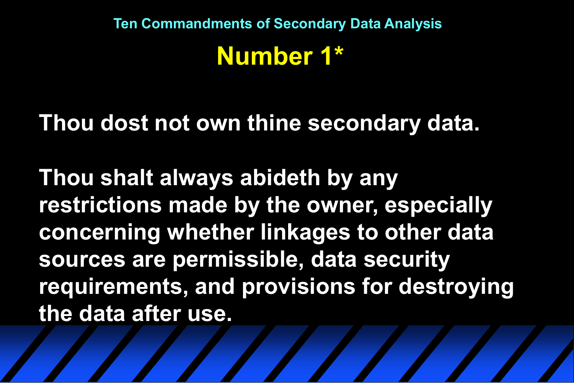#### **Thou dost not own thine secondary data.**

**Thou shalt always abideth by any restrictions made by the owner, especially concerning whether linkages to other data sources are permissible, data security requirements, and provisions for destroying the data after use.**